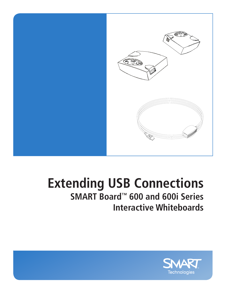

# **Extending USB Connections SMART Board™ 600 and 600i Series**

# **Interactive Whiteboards**

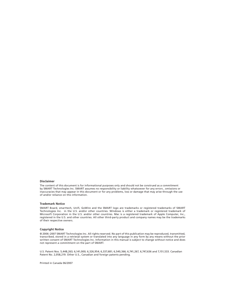#### **Disclaimer**

The content of this document is for informational purposes only and should not be construed as a commitment by SMART Technologies Inc. SMART assumes no responsibility or liability whatsoever for any errors , omissions or inaccuracies that may appear in this document or for any problems, loss or damage that may arise through the use of and/or reliance on this information.

#### **Trademark Notice**

SMART Board, smarttech, Unifi, GoWire and the SMART logo are trademarks or registered trademarks of SMART Technologies Inc. in the U.S. and/or other countries. Windows is either a trademark or registered trademark of Microsoft Corporation in the U.S. and/or other countries. Mac is a registered trademark of Apple Computer, Inc., registered in the U.S. and other countries. All other third-party product and company names may be the trademarks of their respective owners.

#### **Copyright Notice**

© 2006–2007 SMART Technologies Inc. All rights reserved. No part of this publication may be reproduced, transmitted, transcribed, stored in a retrieval system or translated into any language in any form by any means without the prior written consent of SMART Technologies Inc. Information in this manual is subject to change without notice and does not represent a commitment on the part of SMART.

U.S. Patent Nos. 5,448,263; 6,141,000; 6,326,954; 6,337,681; 6,540,366; 6,741,267, 6,747,636 and 7,151,533. Canadian Patent No. 2,058,219. Other U.S., Canadian and foreign patents pending.

Printed in Canada 06/2007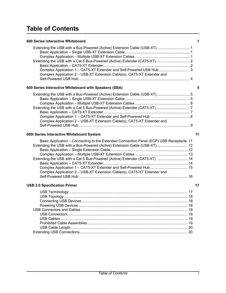# **Table of Contents**

| 600 Series Interactive Whiteboard                                        |  |
|--------------------------------------------------------------------------|--|
| Extending the USB with a Bus-Powered (Active) Extension Cable (USB-XT) 1 |  |
|                                                                          |  |
|                                                                          |  |
|                                                                          |  |
|                                                                          |  |
| Complex Application 1 - CAT5-XT Extender and Self-Powered USB Hub 3      |  |
| Complex Application 2 – USB-XT Extension Cable(s), CAT5-XT Extender and  |  |
|                                                                          |  |

### **[600 Series Interactive Whiteboard with Speakers \(SBA\) 5](#page-8-0)**

| Extending the USB with a Bus-Powered (Active) Extension Cable (USB-XT) 5 |  |
|--------------------------------------------------------------------------|--|
|                                                                          |  |
|                                                                          |  |
|                                                                          |  |
|                                                                          |  |
|                                                                          |  |
| Complex Application 2 – USB-XT Extension Cable(s), CAT5-XT Extender and  |  |
|                                                                          |  |

### **[600i Series Interactive Whiteboard System 11](#page-14-0)**

| Basic Application – Connecting to the Extended Connection Panel (ECP) USB Receptacle 11 |  |
|-----------------------------------------------------------------------------------------|--|
| Extending the USB with a Bus-Powered (Active) Extension Cable (USB-XT) 12               |  |
|                                                                                         |  |
|                                                                                         |  |
| Extending the USB with a Cat 5 Bus-Powered (Active) Extender (CAT5-XT)  14              |  |
|                                                                                         |  |
|                                                                                         |  |
| Complex Application 2 – USB-XT Extension Cable(s), CAT5-XT Extender and                 |  |
|                                                                                         |  |
|                                                                                         |  |

### **[USB 2.0 Specification Primer](#page-20-0) 17**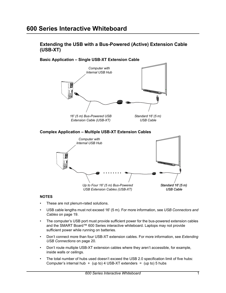### <span id="page-4-0"></span>**600 Series Interactive Whiteboard**

<span id="page-4-1"></span>**Extending the USB with a Bus-Powered (Active) Extension Cable (USB-XT)**

<span id="page-4-2"></span>

*Up to Four 16' (5 m) Bus-Powered USB Extension Cables (USB-XT)*

### <span id="page-4-3"></span>**NOTES**

- These are not plenum-rated solutions.
- USB cable lengths must not exceed 16' (5 m). For more information, see *[USB Connectors and](#page-22-0)  Cables* [on page 19.](#page-22-0)
- The computer's USB port must provide sufficient power for the bus-powered extension cables and the SMART Board™ 600 Series interactive whiteboard. Laptops may not provide sufficient power while running on batteries.
- Don't connect more than four USB-XT extension cables. For more information, see *[Extending](#page-23-1)  [USB Connections](#page-23-1)* on page 20.
- Don't route multiple USB-XT extension cables where they aren't accessible, for example, inside walls or ceilings.
- The total number of hubs used doesn't exceed the USB 2.0 specification limit of five hubs: Computer's internal hub  $+$  (up to) 4 USB-XT extenders = (up to) 5 hubs

*Standard 16' (5 m) USB Cable*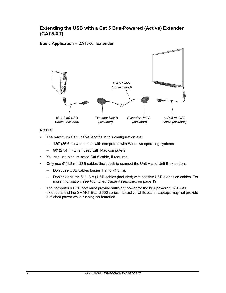### <span id="page-5-0"></span>**Extending the USB with a Cat 5 Bus-Powered (Active) Extender (CAT5-XT)**

### <span id="page-5-1"></span>**Basic Application – CAT5-XT Extender**



### **NOTES**

- The maximum Cat 5 cable lengths in this configuration are:
	- 120' (36.6 m) when used with computers with Windows operating systems.
	- 90' (27.4 m) when used with Mac computers.
- You can use plenum-rated Cat 5 cable, if required.
- Only use 6' (1.8 m) USB cables (included) to connect the Unit A and Unit B extenders.
	- Don't use USB cables longer than 6' (1.8 m).
	- Don't extend the 6' (1.8 m) USB cables (included) with passive USB extension cables. For more information, see *[Prohibited Cable Assemblies](#page-22-3)* on page 19.
- The computer's USB port must provide sufficient power for the bus-powered CAT5-XT extenders and the SMART Board 600 series interactive whiteboard. Laptops may not provide sufficient power while running on batteries.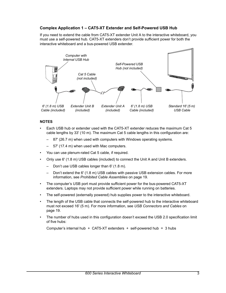### <span id="page-6-0"></span>**Complex Application 1 – CAT5-XT Extender and Self-Powered USB Hub**

If you need to extend the cable from CAT5-XT extender Unit A to the interactive whiteboard, you must use a self-powered hub. CAT5-XT extenders don't provide sufficient power for both the interactive whiteboard and a bus-powered USB extender.



### **NOTES**

- Each USB hub or extender used with the CAT5-XT extender reduces the maximum Cat 5 cable lengths by 33' (10 m). The maximum Cat 5 cable lengths in this configuration are:
	- 87' (26.7 m) when used with computers with Windows operating systems.
	- 57' (17.4 m) when used with Mac computers.
- You can use plenum-rated Cat 5 cable, if required.
- Only use 6' (1.8 m) USB cables (included) to connect the Unit A and Unit B extenders.
	- Don't use USB cables longer than 6' (1.8 m).
	- Don't extend the 6' (1.8 m) USB cables with passive USB extension cables. For more information, see *[Prohibited Cable Assemblies](#page-22-3)* on page 19.
- The computer's USB port must provide sufficient power for the bus-powered CAT5-XT extenders. Laptops may not provide sufficient power while running on batteries.
- The self-powered (externally powered) hub supplies power to the interactive whiteboard.
- The length of the USB cable that connects the self-powered hub to the interactive whiteboard must not exceed 16' (5 m). For more information, see *[USB Connectors and Cables](#page-22-0)* on [page 19.](#page-22-0)
- The number of hubs used in this configuration doesn't exceed the USB 2.0 specification limit of five hubs:

Computer's internal hub  $+$  CAT5-XT extenders  $+$  self-powered hub = 3 hubs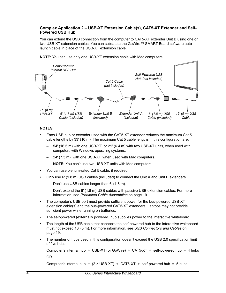### <span id="page-7-0"></span>**Complex Application 2 – USB-XT Extension Cable(s), CAT5-XT Extender and Self-Powered USB Hub**

You can extend the USB connection from the computer to CAT5-XT extender Unit B using one or two USB-XT extension cables. You can substitute the GoWire™ SMART Board software autolaunch cable in place of the USB-XT extension cable.



**NOTE:** You can use only one USB-XT extension cable with Mac computers.

### **NOTES**

- Each USB hub or extender used with the CAT5-XT extender reduces the maximum Cat 5 cable lengths by 33' (10 m). The maximum Cat 5 cable lengths in this configuration are:
	- 54' (16.5 m) with one USB-XT, or 21' (6.4 m) with two USB-XT units, when used with computers with Windows operating systems.
	- 24' (7.3 m) with one USB-XT, when used with Mac computers.

**NOTE:** You can't use two USB-XT units with Mac computers.

- You can use plenum-rated Cat 5 cable, if required.
- Only use 6' (1.8 m) USB cables (included) to connect the Unit A and Unit B extenders.
	- Don't use USB cables longer than 6' (1.8 m).
	- Don't extend the 6' (1.8 m) USB cables with passive USB extension cables. For more information, see *[Prohibited Cable Assemblies](#page-22-3)* on page 19.
- The computer's USB port must provide sufficient power for the bus-powered USB-XT extension cable(s) and the bus-powered CAT5-XT extenders. Laptops may not provide sufficient power while running on batteries.
- The self-powered (externally powered) hub supplies power to the interactive whiteboard.
- The length of the USB cable that connects the self-powered hub to the interactive whiteboard must not exceed 16' (5 m). For more information, see *[USB Connectors and Cables](#page-22-0)* on [page 19.](#page-22-0)
- The number of hubs used in this configuration doesn't exceed the USB 2.0 specification limit of five hubs:

```
Computer's internal hub + USB-XT (or GoWire) + CAT5-XT + self-powered hub = 4 hubs
OR
```

```
Computer's internal hub + (2 × USB-XT) + CAT5-XT + self-powered hub = 5 hubs
```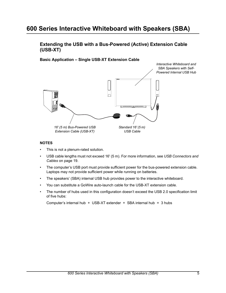## <span id="page-8-0"></span>**600 Series Interactive Whiteboard with Speakers (SBA)**

<span id="page-8-1"></span>**Extending the USB with a Bus-Powered (Active) Extension Cable (USB-XT)**

<span id="page-8-2"></span>**Basic Application – Single USB-XT Extension Cable**



### **NOTES**

- This is not a plenum-rated solution.
- USB cable lengths must not exceed 16' (5 m). For more information, see *[USB Connectors and](#page-22-0)  Cables* [on page 19.](#page-22-0)
- The computer's USB port must provide sufficient power for the bus-powered extension cable. Laptops may not provide sufficient power while running on batteries.
- The speakers' (SBA) internal USB hub provides power to the interactive whiteboard.
- You can substitute a GoWire auto-launch cable for the USB-XT extension cable.
- The number of hubs used in this configuration doesn't exceed the USB 2.0 specification limit of five hubs:

```
Computer's internal hub + USB-XT extender + SBA internal hub = 3 hubs
```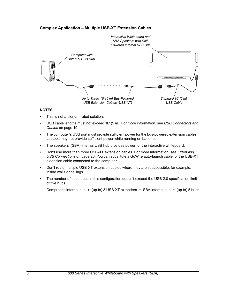### **Complex Application – Multiple USB-XT Extension Cables**

<span id="page-9-0"></span>

### **NOTES**

- This is not a plenum-rated solution.
- USB cable lengths must not exceed 16' (5 m). For more information, see *[USB Connectors and](#page-22-0)  Cables* [on page 19.](#page-22-0)
- The computer's USB port must provide sufficient power for the bus-powered extension cables. Laptops may not provide sufficient power while running on batteries.
- The speakers' (SBA) internal USB hub provides power for the interactive whiteboard.
- Don't use more than three USB-XT extension cables. For more information, see *[Extending](#page-23-1)  [USB Connections](#page-23-1)* on page 20. You can substitute a GoWire auto-launch cable for the USB-XT extension cable connected to the computer.
- Don't route multiple USB-XT extension cables where they aren't accessible, for example, inside walls or ceilings.
- The number of hubs used in this configuration doesn't exceed the USB 2.0 specification limit of five hubs:

Computer's internal hub  $+$  (up to) 3 USB-XT extenders  $+$  SBA internal hub  $=$  (up to) 5 hubs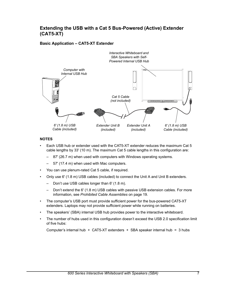### <span id="page-10-0"></span>**Extending the USB with a Cat 5 Bus-Powered (Active) Extender (CAT5-XT)**

### **Basic Application – CAT5-XT Extender**

<span id="page-10-1"></span>

### **NOTES**

- Each USB hub or extender used with the CAT5-XT extender reduces the maximum Cat 5 cable lengths by 33' (10 m). The maximum Cat 5 cable lengths in this configuration are:
	- 87' (26.7 m) when used with computers with Windows operating systems.
	- 57' (17.4 m) when used with Mac computers.
- You can use plenum-rated Cat 5 cable, if required.
- Only use 6' (1.8 m) USB cables (included) to connect the Unit A and Unit B extenders.
	- Don't use USB cables longer than 6' (1.8 m).
	- Don't extend the 6' (1.8 m) USB cables with passive USB extension cables. For more information, see *[Prohibited Cable Assemblies](#page-22-3)* on page 19.
- The computer's USB port must provide sufficient power for the bus-powered CAT5-XT extenders. Laptops may not provide sufficient power while running on batteries.
- The speakers' (SBA) internal USB hub provides power to the interactive whiteboard.
- The number of hubs used in this configuration doesn't exceed the USB 2.0 specification limit of five hubs:

Computer's internal hub + CAT5-XT extenders + SBA speaker internal hub = 3 hubs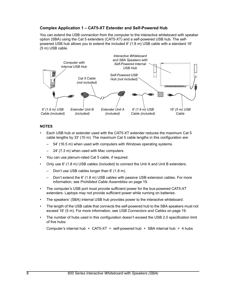### <span id="page-11-0"></span>**Complex Application 1 – CAT5-XT Extender and Self-Powered Hub**

You can extend the USB connection from the computer to the interactive whiteboard with speaker option (SBA) using the Cat 5 extenders (CAT5-XT) and a self-powered USB hub. The selfpowered USB hub allows you to extend the included 6' (1.8 m) USB cable with a standard 16' (5 m) USB cable.



### **NOTES**

- Each USB hub or extender used with the CAT5-XT extender reduces the maximum Cat 5 cable lengths by 33' (10 m). The maximum Cat 5 cable lengths in this configuration are:
	- 54' (16.5 m) when used with computers with Windows operating systems.
	- 24' (7.3 m) when used with Mac computers.
- You can use plenum-rated Cat 5 cable, if required.
- Only use 6' (1.8 m) USB cables (included) to connect the Unit A and Unit B extenders.
	- Don't use USB cables longer than 6' (1.8 m).
	- Don't extend the 6' (1.8 m) USB cables with passive USB extension cables. For more information, see *[Prohibited Cable Assemblies](#page-22-3)* on page 19.
- The computer's USB port must provide sufficient power for the bus-powered CAT5-XT extenders. Laptops may not provide sufficient power while running on batteries.
- The speakers' (SBA) internal USB hub provides power to the interactive whiteboard.
- The length of the USB cable that connects the self-powered hub to the SBA speakers must not exceed 16' (5 m). For more information, see *[USB Connectors and Cables](#page-22-0)* on page 19.
- The number of hubs used in this configuration doesn't exceed the USB 2.0 specification limit of five hubs:

Computer's internal hub + CAT5-XT + self-powered hub + SBA internal hub = 4 hubs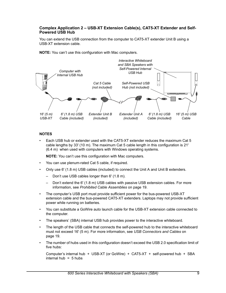### <span id="page-12-0"></span>**Complex Application 2 – USB-XT Extension Cable(s), CAT5-XT Extender and Self-Powered USB Hub**

You can extend the USB connection from the computer to CAT5-XT extender Unit B using a USB-XT extension cable.

**NOTE:** You can't use this configuration with Mac computers.



### **NOTES**

• Each USB hub or extender used with the CAT5-XT extender reduces the maximum Cat 5 cable lengths by 33' (10 m). The maximum Cat 5 cable length in this configuration is 21' (6.4 m) when used with computers with Windows operating systems.

**NOTE:** You can't use this configuration with Mac computers.

- You can use plenum-rated Cat 5 cable, if required.
- Only use 6' (1.8 m) USB cables (included) to connect the Unit A and Unit B extenders.
	- Don't use USB cables longer than 6' (1.8 m).
	- Don't extend the 6' (1.8 m) USB cables with passive USB extension cables. For more information, see *[Prohibited Cable Assemblies](#page-22-3)* on page 19.
- The computer's USB port must provide sufficient power for the bus-powered USB-XT extension cable and the bus-powered CAT5-XT extenders. Laptops may not provide sufficient power while running on batteries.
- You can substitute a GoWire auto launch cable for the USB-XT extension cable connected to the computer.
- The speakers' (SBA) internal USB hub provides power to the interactive whiteboard.
- The length of the USB cable that connects the self-powered hub to the interactive whiteboard must not exceed 16' (5 m). For more information, see *[USB Connectors and Cables](#page-22-0)* on [page 19.](#page-22-0)
- The number of hubs used in this configuration doesn't exceed the USB 2.0 specification limit of five hubs:

Computer's internal hub + USB-XT (or GoWire) + CAT5-XT + self-powered hub + SBA internal hub  $= 5$  hubs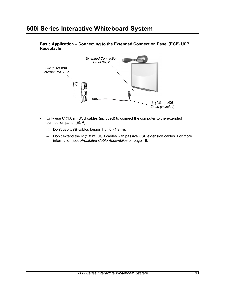## <span id="page-14-0"></span>**600i Series Interactive Whiteboard System**



<span id="page-14-1"></span>**Basic Application – Connecting to the Extended Connection Panel (ECP) USB Receptacle**

- Only use 6' (1.8 m) USB cables (included) to connect the computer to the extended connection panel (ECP).
	- Don't use USB cables longer than 6' (1.8 m).
	- Don't extend the 6' (1.8 m) USB cables with passive USB extension cables. For more information, see *[Prohibited Cable Assemblies](#page-22-3)* on page 19.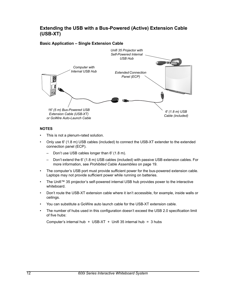### <span id="page-15-0"></span>**Extending the USB with a Bus-Powered (Active) Extension Cable (USB-XT)**

### **Basic Application – Single Extension Cable**

<span id="page-15-1"></span>

### **NOTES**

- This is not a plenum-rated solution.
- Only use 6' (1.8 m) USB cables (included) to connect the USB-XT extender to the extended connection panel (ECP).
	- Don't use USB cables longer than 6' (1.8 m).
	- Don't extend the 6' (1.8 m) USB cables (included) with passive USB extension cables. For more information, see *[Prohibited Cable Assemblies](#page-22-3)* on page 19.
- The computer's USB port must provide sufficient power for the bus-powered extension cable. Laptops may not provide sufficient power while running on batteries.
- The Unifi™ 35 projector's self-powered internal USB hub provides power to the interactive whiteboard.
- Don't route the USB-XT extension cable where it isn't accessible, for example, inside walls or ceilings.
- You can substitute a GoWire auto launch cable for the USB-XT extension cable.
- The number of hubs used in this configuration doesn't exceed the USB 2.0 specification limit of five hubs:

Computer's internal hub  $+$  USB-XT  $+$  Unifi 35 internal hub = 3 hubs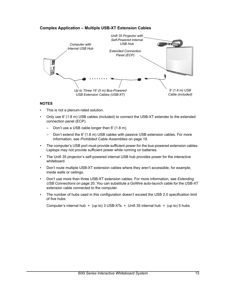### <span id="page-16-0"></span>**Complex Application – Multiple USB-XT Extension Cables**



### **NOTES**

- This is not a plenum-rated solution.
- Only use 6' (1.8 m) USB cables (included) to connect the USB-XT extender to the extended connection panel (ECP).
	- Don't use a USB cable longer than 6' (1.8 m).
	- Don't extend the 6' (1.8 m) USB cables with passive USB extension cables. For more information, see *[Prohibited Cable Assemblies](#page-22-3)* on page 19.
- The computer's USB port must provide sufficient power for the bus-powered extension cables. Laptops may not provide sufficient power while running on batteries.
- The Unifi 35 projector's self-powered internal USB hub provides power for the interactive whiteboard.
- Don't route multiple USB-XT extension cables where they aren't accessible, for example, inside walls or ceilings.
- Don't use more than three USB-XT extension cables. For more information, see *[Extending](#page-23-1)  [USB Connections](#page-23-1)* on page 20. You can substitute a GoWire auto-launch cable for the USB-XT extension cable connected to the computer.
- The number of hubs used in this configuration doesn't exceed the USB 2.0 specification limit of five hubs:

Computer's internal hub  $+$  (up to) 3 USB-XTs  $+$  Unifi 35 internal hub  $=$  (up to) 5 hubs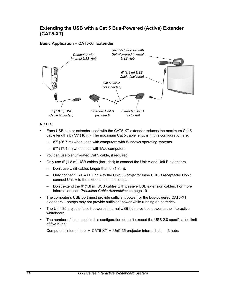### <span id="page-17-0"></span>**Extending the USB with a Cat 5 Bus-Powered (Active) Extender (CAT5-XT)**

### <span id="page-17-1"></span>**Basic Application – CAT5-XT Extender**



### **NOTES**

- Each USB hub or extender used with the CAT5-XT extender reduces the maximum Cat 5 cable lengths by 33' (10 m). The maximum Cat 5 cable lengths in this configuration are:
	- 87' (26.7 m) when used with computers with Windows operating systems.
	- 57' (17.4 m) when used with Mac computers.
- You can use plenum-rated Cat 5 cable, if required.
- Only use 6' (1.8 m) USB cables (included) to connect the Unit A and Unit B extenders.
	- Don't use USB cables longer than 6' (1.8 m).
	- Only connect CAT5-XT Unit A to the Unifi 35 projector base USB B receptacle. Don't connect Unit A to the extended connection panel.
	- Don't extend the 6' (1.8 m) USB cables with passive USB extension cables. For more information, see *[Prohibited Cable Assemblies](#page-22-3)* on page 19.
- The computer's USB port must provide sufficient power for the bus-powered CAT5-XT extenders. Laptops may not provide sufficient power while running on batteries.
- The Unifi 35 projector's self-powered internal USB hub provides power to the interactive whiteboard.
- The number of hubs used in this configuration doesn't exceed the USB 2.0 specification limit of five hubs:

Computer's internal hub  $+$  CAT5-XT  $+$  Unifi 35 projector internal hub = 3 hubs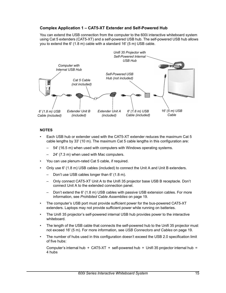### <span id="page-18-0"></span>**Complex Application 1 – CAT5-XT Extender and Self-Powered Hub**

You can extend the USB connection from the computer to the 600i interactive whiteboard system using Cat 5 extenders (CAT5-XT) and a self-powered USB hub. The self-powered USB hub allows you to extend the 6' (1.8 m) cable with a standard 16' (5 m) USB cable.



### **NOTES**

- Each USB hub or extender used with the CAT5-XT extender reduces the maximum Cat 5 cable lengths by 33' (10 m). The maximum Cat 5 cable lengths in this configuration are:
	- 54' (16.5 m) when used with computers with Windows operating systems.
	- 24' (7.3 m) when used with Mac computers.
- You can use plenum-rated Cat 5 cable, if required.
- Only use 6' (1.8 m) USB cables (included) to connect the Unit A and Unit B extenders.
	- Don't use USB cables longer than 6' (1.8 m).
	- Only connect CAT5-XT Unit A to the Unifi 35 projector base USB B receptacle. Don't connect Unit A to the extended connection panel.
	- Don't extend the 6' (1.8 m) USB cables with passive USB extension cables. For more information, see *[Prohibited Cable Assemblies](#page-22-3)* on page 19.
- The computer's USB port must provide sufficient power for the bus-powered CAT5-XT extenders. Laptops may not provide sufficient power while running on batteries.
- The Unifi 35 projector's self-powered internal USB hub provides power to the interactive whiteboard.
- The length of the USB cable that connects the self-powered hub to the Unifi 35 projector must not exceed 16' (5 m). For more information, see *[USB Connectors and Cables](#page-22-0)* on page 19.
- The number of hubs used in this configuration doesn't exceed the USB 2.0 specification limit of five hubs:

Computer's internal hub  $+$  CAT5-XT  $+$  self-powered hub  $+$  Unifi 35 projector internal hub = 4 hubs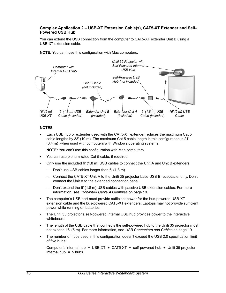### <span id="page-19-0"></span>**Complex Application 2 – USB-XT Extension Cable(s), CAT5-XT Extender and Self-Powered USB Hub**

You can extend the USB connection from the computer to CAT5-XT extender Unit B using a USB-XT extension cable.





### **NOTES**

• Each USB hub or extender used with the CAT5-XT extender reduces the maximum Cat 5 cable lengths by 33' (10 m). The maximum Cat 5 cable length in this configuration is 21' (6.4 m) when used with computers with Windows operating systems.

**NOTE:** You can't use this configuration with Mac computers.

- You can use plenum-rated Cat 5 cable, if required.
- Only use the included 6' (1.8 m) USB cables to connect the Unit A and Unit B extenders.
	- Don't use USB cables longer than 6' (1.8 m).
	- Connect the CAT5-XT Unit A to the Unifi 35 projector base USB B receptacle, only. Don't connect the Unit A to the extended connection panel.
	- Don't extend the 6' (1.8 m) USB cables with passive USB extension cables. For more information, see *[Prohibited Cable Assemblies](#page-22-3)* on page 19.
- The computer's USB port must provide sufficient power for the bus-powered USB-XT extension cable and the bus-powered CAT5-XT extenders. Laptops may not provide sufficient power while running on batteries.
- The Unifi 35 projector's self-powered internal USB hub provides power to the interactive whiteboard.
- The length of the USB cable that connects the self-powered hub to the Unifi 35 projector must not exceed 16' (5 m). For more information, see *[USB Connectors and Cables](#page-22-0)* on page 19.
- The number of hubs used in this configuration doesn't exceed the USB 2.0 specification limit of five hubs:

Computer's internal hub + USB-XT + CAT5-XT + self-powered hub + Unifi 35 projector internal hub  $= 5$  hubs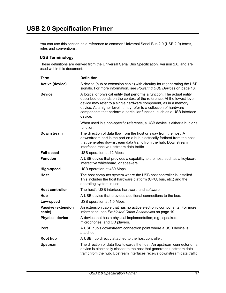<span id="page-20-0"></span>You can use this section as a reference to common Universal Serial Bus 2.0 (USB 2.0) terms, rules and conventions.

### <span id="page-20-1"></span>**USB Terminology**

These definitions are derived from the Universal Serial Bus Specification, Version 2.0, and are used within this document.

| Term                                | <b>Definition</b>                                                                                                                                                                                                                                                                                                                                                                  |
|-------------------------------------|------------------------------------------------------------------------------------------------------------------------------------------------------------------------------------------------------------------------------------------------------------------------------------------------------------------------------------------------------------------------------------|
| <b>Active (device)</b>              | A device (hub or extension cable) with circuitry for regenerating the USB<br>signals. For more information, see Powering USB Devices on page 18.                                                                                                                                                                                                                                   |
| <b>Device</b>                       | A logical or physical entity that performs a function. The actual entity<br>described depends on the context of the reference. At the lowest level,<br>device may refer to a single hardware component, as in a memory<br>device. At a higher level, it may refer to a collection of hardware<br>components that perform a particular function, such as a USB interface<br>device. |
|                                     | When used in a non-specific reference, a USB device is either a hub or a<br>function.                                                                                                                                                                                                                                                                                              |
| Downstream                          | The direction of data flow from the host or away from the host. A<br>downstream port is the port on a hub electrically farthest from the host<br>that generates downstream data traffic from the hub. Downstream<br>interfaces receive upstream data traffic.                                                                                                                      |
| <b>Full-speed</b>                   | USB operation at 12 Mbps                                                                                                                                                                                                                                                                                                                                                           |
| <b>Function</b>                     | A USB device that provides a capability to the host, such as a keyboard,<br>interactive whiteboard, or speakers.                                                                                                                                                                                                                                                                   |
| High-speed                          | USB operation at 480 Mbps                                                                                                                                                                                                                                                                                                                                                          |
| Host                                | The host computer system where the USB host controller is installed.<br>This includes the host hardware platform (CPU, bus, etc.) and the<br>operating system in use.                                                                                                                                                                                                              |
| <b>Host controller</b>              | The host's USB interface hardware and software.                                                                                                                                                                                                                                                                                                                                    |
| Hub                                 | A USB device that provides additional connections to the bus.                                                                                                                                                                                                                                                                                                                      |
| Low-speed                           | USB operation at 1.5 Mbps                                                                                                                                                                                                                                                                                                                                                          |
| <b>Passive (extension</b><br>cable) | An extension cable that has no active electronic components. For more<br>information, see Prohibited Cable Assemblies on page 19.                                                                                                                                                                                                                                                  |
| <b>Physical device</b>              | A device that has a physical implementation; e.g., speakers,<br>microphones, and CD players.                                                                                                                                                                                                                                                                                       |
| Port                                | A USB hub's downstream connection point where a USB device is<br>attached.                                                                                                                                                                                                                                                                                                         |
| Root hub                            | A USB hub directly attached to the host controller.                                                                                                                                                                                                                                                                                                                                |
| <b>Upstream</b>                     | The direction of data flow towards the host. An upstream connector on a<br>device is electrically closest to the host that generates upstream data<br>traffic from the hub. Upstream interfaces receive downstream data traffic.                                                                                                                                                   |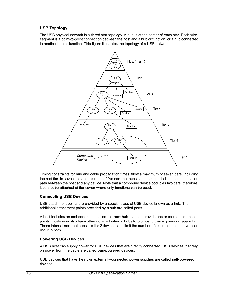### <span id="page-21-0"></span>**USB Topology**

The USB physical network is a tiered star topology. A hub is at the center of each star. Each wire segment is a point-to-point connection between the host and a hub or function, or a hub connected to another hub or function. This figure illustrates the topology of a USB network.



Timing constraints for hub and cable propagation times allow a maximum of seven tiers, including the root tier. In seven tiers, a maximum of five non-root hubs can be supported in a communication path between the host and any device. Note that a compound device occupies two tiers; therefore, it cannot be attached at tier seven where only functions can be used.

### <span id="page-21-1"></span>**Connecting USB Devices**

USB attachment points are provided by a special class of USB device known as a hub. The additional attachment points provided by a hub are called ports.

A host includes an embedded hub called the **root hub** that can provide one or more attachment points. Hosts may also have other non-root internal hubs to provide further expansion capability. These internal non-root hubs are tier 2 devices, and limit the number of external hubs that you can use in a path.

### <span id="page-21-2"></span>**Powering USB Devices**

A USB host can supply power for USB devices that are directly connected. USB devices that rely on power from the cable are called **bus-powered** devices.

USB devices that have their own externally-connected power supplies are called **self-powered** devices.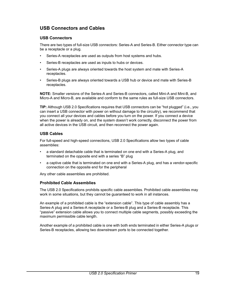### <span id="page-22-0"></span>**USB Connectors and Cables**

### <span id="page-22-1"></span>**USB Connectors**

There are two types of full-size USB connectors: Series-A and Series-B. Either connector type can be a receptacle or a plug.

- Series-A receptacles are used as outputs from host systems and hubs.
- Series-B receptacles are used as inputs to hubs or devices.
- Series-A plugs are always oriented towards the host system and mate with Series-A receptacles.
- Series-B plugs are always oriented towards a USB hub or device and mate with Series-B receptacles.

**NOTE:** Smaller versions of the Series-A and Series-B connectors, called Mini-A and Mini-B, and Micro-A and Micro-B, are available and conform to the same rules as full-size USB connectors.

**TIP:** Although USB 2.0 Specifications requires that USB connectors can be "hot plugged" (i.e., you can insert a USB connector with power on without damage to the circuitry), we recommend that you connect all your devices and cables before you turn on the power. If you connect a device when the power is already on, and the system doesn't work correctly, disconnect the power from all active devices in the USB circuit, and then reconnect the power again.

### <span id="page-22-2"></span>**USB Cables**

For full-speed and high-speed connections, USB 2.0 Specifications allow two types of cable assemblies:

- a standard detachable cable that is terminated on one end with a Series-A plug, and terminated on the opposite end with a series "B" plug
- a captive cable that is terminated on one end with a Series-A plug, and has a vendor-specific connection on the opposite end for the peripheral

Any other cable assemblies are prohibited.

### <span id="page-22-3"></span>**Prohibited Cable Assemblies**

The USB 2.0 Specifications prohibits specific cable assemblies. Prohibited cable assemblies may work in some situations, but they cannot be guaranteed to work in all instances.

An example of a prohibited cable is the "extension cable". This type of cable assembly has a Series-A plug and a Series-A receptacle or a Series-B plug and a Series-B receptacle. This "passive" extension cable allows you to connect multiple cable segments, possibly exceeding the maximum permissible cable length.

Another example of a prohibited cable is one with both ends terminated in either Series-A plugs or Series-B receptacles, allowing two downstream ports to be connected together.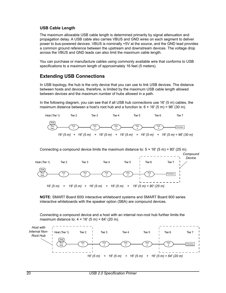### <span id="page-23-0"></span>**USB Cable Length**

The maximum allowable USB cable length is determined primarily by signal attenuation and propagation delay. A USB cable also carries VBUS and GND wires on each segment to deliver power to bus-powered devices. VBUS is nominally +5V at the source, and the GND lead provides a common ground reference between the upstream and downstream devices. The voltage drop across the VBUS and GND leads can also limit the maximum cable length.

You can purchase or manufacture cables using commonly available wire that conforms to USB specifications to a maximum length of approximately 16 feet (5 meters).

### <span id="page-23-1"></span>**Extending USB Connections**

In USB topology, the hub is the only device that you can use to link USB devices. The distance between hosts and devices, therefore, is limited by the maximum USB cable length allowed between devices and the maximum number of hubs allowed in a path.

In the following diagram, you can see that if all USB hub connections use 16' (5 m) cables, the maximum distance between a host's root hub and a function is:  $6 \times 16'$  (5 m) = 96' (30 m).



Connecting a compound device limits the maximum distance to:  $5 \times 16'$  (5 m) = 80' (25 m).



**NOTE:** SMART Board 600i interactive whiteboard systems and SMART Board 600 series interactive whiteboards with the speaker option (SBA) are compound devices.

Connecting a compound device and a host with an internal non-root hub further limits the maximum distance to:  $4 \times 16'$  (5 m) = 64' (20 m).